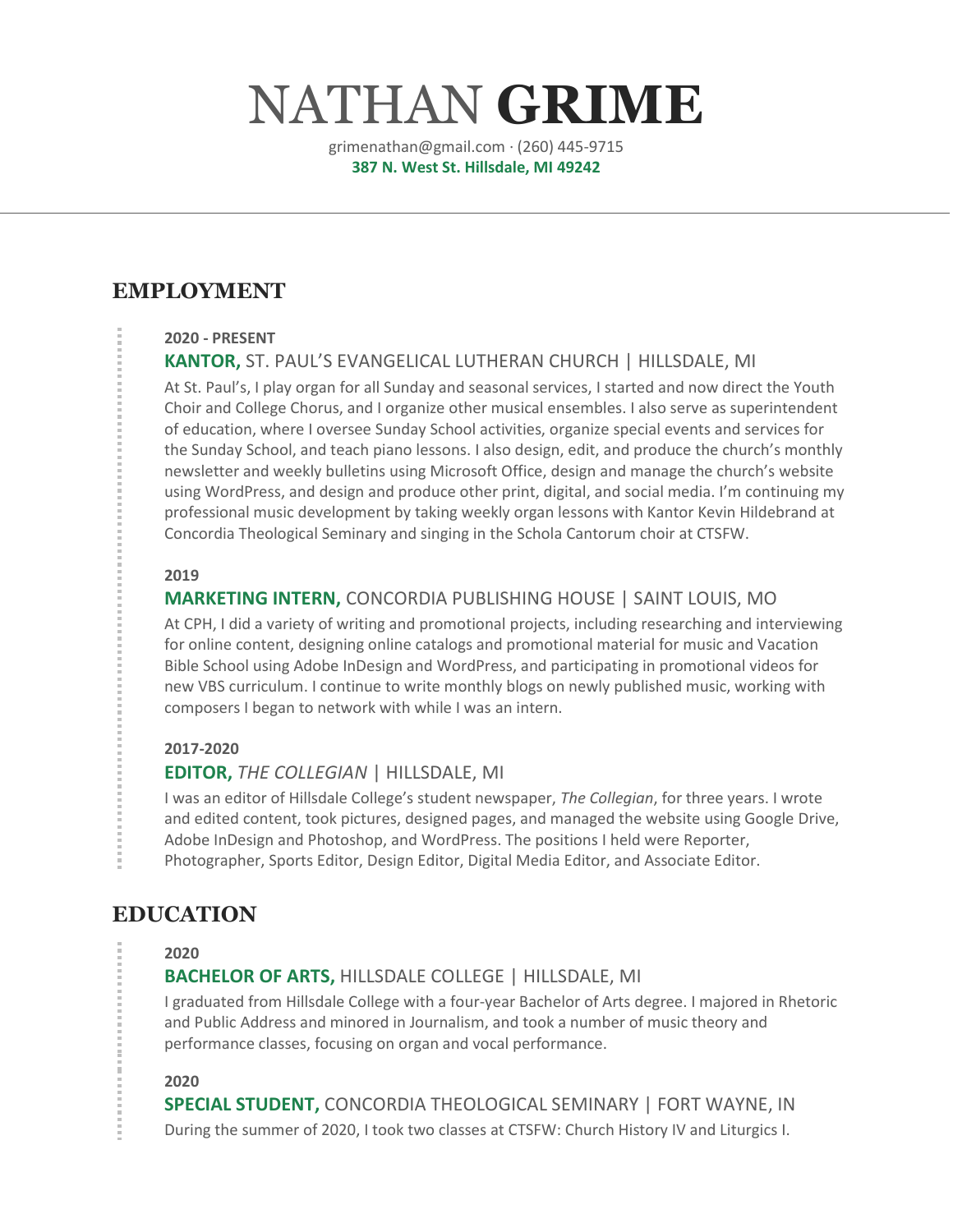# NATHAN **GRIME**

grimenathan@gmail.com · (260) 445-9715 **387 N. West St. Hillsdale, MI 49242**

# **EMPLOYMENT**

#### **2020 - PRESENT**

## **KANTOR,** ST. PAUL'S EVANGELICAL LUTHERAN CHURCH | HILLSDALE, MI

At St. Paul's, I play organ for all Sunday and seasonal services, I started and now direct the Youth Choir and College Chorus, and I organize other musical ensembles. I also serve as superintendent of education, where I oversee Sunday School activities, organize special events and services for the Sunday School, and teach piano lessons. I also design, edit, and produce the church's monthly newsletter and weekly bulletins using Microsoft Office, design and manage the church's website using WordPress, and design and produce other print, digital, and social media. I'm continuing my professional music development by taking weekly organ lessons with Kantor Kevin Hildebrand at Concordia Theological Seminary and singing in the Schola Cantorum choir at CTSFW.

#### **2019**

## **MARKETING INTERN,** CONCORDIA PUBLISHING HOUSE | SAINT LOUIS, MO

At CPH, I did a variety of writing and promotional projects, including researching and interviewing for online content, designing online catalogs and promotional material for music and Vacation Bible School using Adobe InDesign and WordPress, and participating in promotional videos for new VBS curriculum. I continue to write monthly blogs on newly published music, working with composers I began to network with while I was an intern.

#### **2017-2020**

## **EDITOR,** *THE COLLEGIAN* | HILLSDALE, MI

I was an editor of Hillsdale College's student newspaper, *The Collegian*, for three years. I wrote and edited content, took pictures, designed pages, and managed the website using Google Drive, Adobe InDesign and Photoshop, and WordPress. The positions I held were Reporter, Photographer, Sports Editor, Design Editor, Digital Media Editor, and Associate Editor.

## **EDUCATION**

#### **2020**

## **BACHELOR OF ARTS,** HILLSDALE COLLEGE | HILLSDALE, MI

I graduated from Hillsdale College with a four-year Bachelor of Arts degree. I majored in Rhetoric and Public Address and minored in Journalism, and took a number of music theory and performance classes, focusing on organ and vocal performance.

**2020**

**SPECIAL STUDENT,** CONCORDIA THEOLOGICAL SEMINARY | FORT WAYNE, IN During the summer of 2020, I took two classes at CTSFW: Church History IV and Liturgics I.